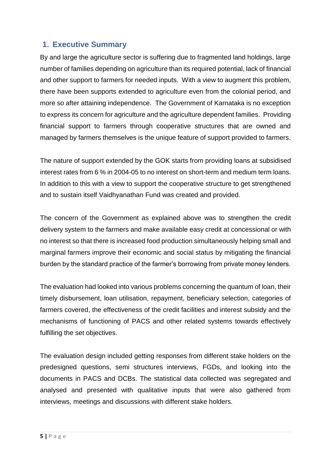## **1. Executive Summary**

By and large the agriculture sector is suffering due to fragmented land holdings, large number of families depending on agriculture than its required potential, lack of financial and other support to farmers for needed inputs. With a view to augment this problem, there have been supports extended to agriculture even from the colonial period, and more so after attaining independence. The Government of Karnataka is no exception to express its concern for agriculture and the agriculture dependent families. Providing financial support to farmers through cooperative structures that are owned and managed by farmers themselves is the unique feature of support provided to farmers.

The nature of support extended by the GOK starts from providing loans at subsidised interest rates from 6 % in 2004-05 to no interest on short-term and medium term loans. In addition to this with a view to support the cooperative structure to get strengthened and to sustain itself Vaidhyanathan Fund was created and provided.

The concern of the Government as explained above was to strengthen the credit delivery system to the farmers and make available easy credit at concessional or with no interest so that there is increased food production simultaneously helping small and marginal farmers improve their economic and social status by mitigating the financial burden by the standard practice of the farmer's borrowing from private money lenders.

The evaluation had looked into various problems concerning the quantum of loan, their timely disbursement, loan utilisation, repayment, beneficiary selection, categories of farmers covered, the effectiveness of the credit facilities and interest subsidy and the mechanisms of functioning of PACS and other related systems towards effectively fulfilling the set objectives.

The evaluation design included getting responses from different stake holders on the predesigned questions, semi structures interviews, FGDs, and looking into the documents in PACS and DCBs. The statistical data collected was segregated and analysed and presented with qualitative inputs that were also gathered from interviews, meetings and discussions with different stake holders.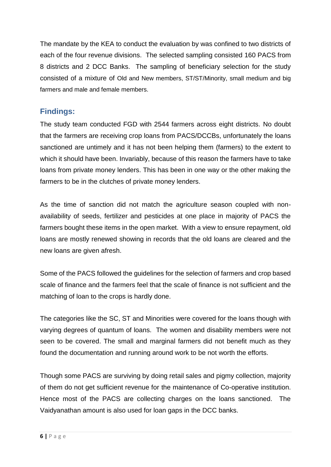The mandate by the KEA to conduct the evaluation by was confined to two districts of each of the four revenue divisions. The selected sampling consisted 160 PACS from 8 districts and 2 DCC Banks. The sampling of beneficiary selection for the study consisted of a mixture of Old and New members, ST/ST/Minority, small medium and big farmers and male and female members.

## **Findings:**

The study team conducted FGD with 2544 farmers across eight districts. No doubt that the farmers are receiving crop loans from PACS/DCCBs, unfortunately the loans sanctioned are untimely and it has not been helping them (farmers) to the extent to which it should have been. Invariably, because of this reason the farmers have to take loans from private money lenders. This has been in one way or the other making the farmers to be in the clutches of private money lenders.

As the time of sanction did not match the agriculture season coupled with nonavailability of seeds, fertilizer and pesticides at one place in majority of PACS the farmers bought these items in the open market. With a view to ensure repayment, old loans are mostly renewed showing in records that the old loans are cleared and the new loans are given afresh.

Some of the PACS followed the guidelines for the selection of farmers and crop based scale of finance and the farmers feel that the scale of finance is not sufficient and the matching of loan to the crops is hardly done.

The categories like the SC, ST and Minorities were covered for the loans though with varying degrees of quantum of loans. The women and disability members were not seen to be covered. The small and marginal farmers did not benefit much as they found the documentation and running around work to be not worth the efforts.

Though some PACS are surviving by doing retail sales and pigmy collection, majority of them do not get sufficient revenue for the maintenance of Co-operative institution. Hence most of the PACS are collecting charges on the loans sanctioned. The Vaidyanathan amount is also used for loan gaps in the DCC banks.